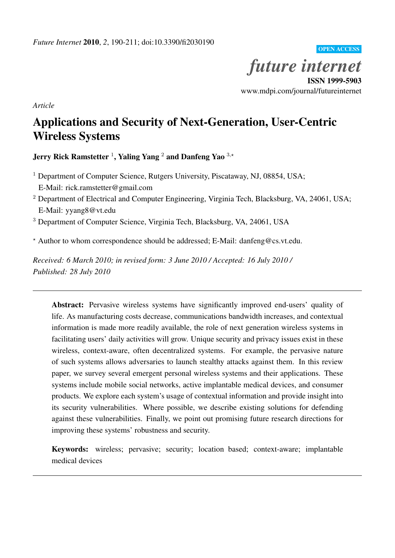OPEN ACCESS

*future internet* ISSN 1999-5903

www.mdpi.com/journal/futureinternet

*Article*

# Applications and Security of Next-Generation, User-Centric Wireless Systems

Jerry Rick Ramstetter <sup>1</sup> , Yaling Yang <sup>2</sup> and Danfeng Yao <sup>3</sup>*,⋆*

<sup>1</sup> Department of Computer Science, Rutgers University, Piscataway, NJ, 08854, USA; E-Mail: rick.ramstetter@gmail.com

<sup>2</sup> Department of Electrical and Computer Engineering, Virginia Tech, Blacksburg, VA, 24061, USA; E-Mail: yyang8@vt.edu

<sup>3</sup> Department of Computer Science, Virginia Tech, Blacksburg, VA, 24061, USA

*<sup>⋆</sup>* Author to whom correspondence should be addressed; E-Mail: danfeng@cs.vt.edu.

*Received: 6 March 2010; in revised form: 3 June 2010 / Accepted: 16 July 2010 / Published: 28 July 2010*

Abstract: Pervasive wireless systems have significantly improved end-users' quality of life. As manufacturing costs decrease, communications bandwidth increases, and contextual information is made more readily available, the role of next generation wireless systems in facilitating users' daily activities will grow. Unique security and privacy issues exist in these wireless, context-aware, often decentralized systems. For example, the pervasive nature of such systems allows adversaries to launch stealthy attacks against them. In this review paper, we survey several emergent personal wireless systems and their applications. These systems include mobile social networks, active implantable medical devices, and consumer products. We explore each system's usage of contextual information and provide insight into its security vulnerabilities. Where possible, we describe existing solutions for defending against these vulnerabilities. Finally, we point out promising future research directions for improving these systems' robustness and security.

Keywords: wireless; pervasive; security; location based; context-aware; implantable medical devices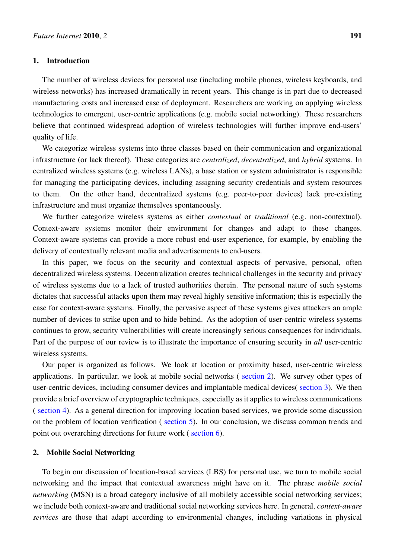## 1. Introduction

The number of wireless devices for personal use (including mobile phones, wireless keyboards, and wireless networks) has increased dramatically in recent years. This change is in part due to decreased manufacturing costs and increased ease of deployment. Researchers are working on applying wireless technologies to emergent, user-centric applications (e.g. mobile social networking). These researchers believe that continued widespread adoption of wireless technologies will further improve end-users' quality of life.

We categorize wireless systems into three classes based on their communication and organizational infrastructure (or lack thereof). These categories are *centralized*, *decentralized*, and *hybrid* systems. In centralized wireless systems (e.g. wireless LANs), a base station or system administrator is responsible for managing the participating devices, including assigning security credentials and system resources to them. On the other hand, decentralized systems (e.g. peer-to-peer devices) lack pre-existing infrastructure and must organize themselves spontaneously.

We further categorize wireless systems as either *contextual* or *traditional* (e.g. non-contextual). Context-aware systems monitor their environment for changes and adapt to these changes. Context-aware systems can provide a more robust end-user experience, for example, by enabling the delivery of contextually relevant media and advertisements to end-users.

In this paper, we focus on the security and contextual aspects of pervasive, personal, often decentralized wireless systems. Decentralization creates technical challenges in the security and privacy of wireless systems due to a lack of trusted authorities therein. The personal nature of such systems dictates that successful attacks upon them may reveal highly sensitive information; this is especially the case for context-aware systems. Finally, the pervasive aspect of these systems gives attackers an ample number of devices to strike upon and to hide behind. As the adoption of user-centric wireless systems continues to grow, security vulnerabilities will create increasingly serious consequences for individuals. Part of the purpose of our review is to illustrate the importance of ensuring security in *all* user-centric wireless systems.

Our paper is organized as follows. We look at location or proximity based, user-centric wireless applications. In particular, we look at mobile social networks ( section 2). We survey other types of user-centric devices, including consumer devices and implantable medical devices( section 3). We then provide a brief overview of cryptographic techniques, especially as it applies to wireless communications ( section 4). As a general direction for improving location based [services,](#page-1-0) we provide some discussion on the problem of location verification ( section 5). In our conclusion, we discuss [common t](#page-7-0)rends and point out overarching directions for future work ( section 6).

#### 2. Mobile Social Networking

<span id="page-1-0"></span>To begin our discussion of location-based ser[vices \(LBS](#page-16-0)) for personal use, we turn to mobile social networking and the impact that contextual awareness might have on it. The phrase *mobile social networking* (MSN) is a broad category inclusive of all mobilely accessible social networking services; we include both context-aware and traditional social networking services here. In general, *context-aware services* are those that adapt according to environmental changes, including variations in physical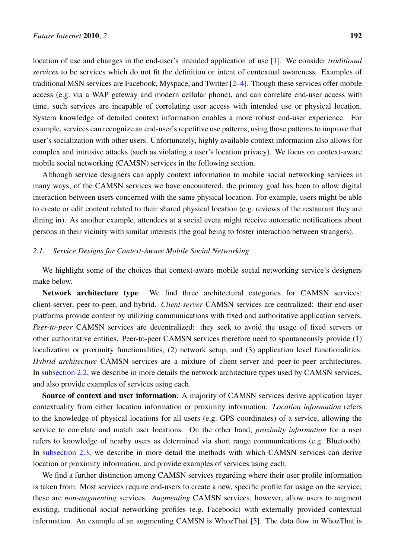location of use and changes in the end-user's intended application of use [1]. We consider *traditional services* to be services which do not fit the definition or intent of contextual awareness. Examples of traditional MSN services are Facebook, Myspace, and Twitter [2–4]. Though these services offer mobile access (e.g. via a WAP gateway and modern cellular phone), and can co[rre](#page-16-1)late end-user access with time, such services are incapable of correlating user access with intended use or physical location. System knowledge of detailed context information enables [a](#page-16-2) [mo](#page-16-3)re robust end-user experience. For example, services can recognize an end-user's repetitive use patterns, using those patterns to improve that user's socialization with other users. Unfortunately, highly available context information also allows for complex and intrusive attacks (such as violating a user's location privacy). We focus on context-aware mobile social networking (CAMSN) services in the following section.

Although service designers can apply context information to mobile social networking services in many ways, of the CAMSN services we have encountered, the primary goal has been to allow digital interaction between users concerned with the same physical location. For example, users might be able to create or edit content related to their shared physical location (e.g. reviews of the restaurant they are dining in). As another example, attendees at a social event might receive automatic notifications about persons in their vicinity with similar interests (the goal being to foster interaction between strangers).

#### *2.1. Service Designs for Context-Aware Mobile Social Networking*

<span id="page-2-0"></span>We highlight some of the choices that context-aware mobile social networking service's designers make below.

Network architecture type: We find three architectural categories for CAMSN services: client-server, peer-to-peer, and hybrid. *Client-server* CAMSN services are centralized: their end-user platforms provide content by utilizing communications with fixed and authoritative application servers. *Peer-to-peer* CAMSN services are decentralized: they seek to avoid the usage of fixed servers or other authoritative entities. Peer-to-peer CAMSN services therefore need to spontaneously provide (1) localization or proximity functionalities, (2) network setup, and (3) application level functionalities. *Hybrid architecture* CAMSN services are a mixture of client-server and peer-to-peer architectures. In subsection 2.2, we describe in more details the network architecture types used by CAMSN services, and also provide examples of services using each.

Source of context and user information: A majority of CAMSN services derive application layer co[ntextuality from](#page-3-0) either location information or proximity information. *Location information* refers to the knowledge of physical locations for all users (e.g. GPS coordinates) of a service, allowing the service to correlate and match user locations. On the other hand, *proximity information* for a user refers to knowledge of nearby users as determined via short range communications (e.g. Bluetooth). In subsection 2.3, we describe in more detail the methods with which CAMSN services can derive location or proximity information, and provide examples of services using each.

We find a further distinction among CAMSN services regarding where their user profile information is [taken from. Mo](#page-3-1)st services require end-users to create a new, specific profile for usage on the service; these are *non-augmenting* services. *Augmenting* CAMSN services, however, allow users to augment existing, traditional social networking profiles (e.g. Facebook) with externally provided contextual information. An example of an augmenting CAMSN is WhozThat [5]. The data flow in WhozThat is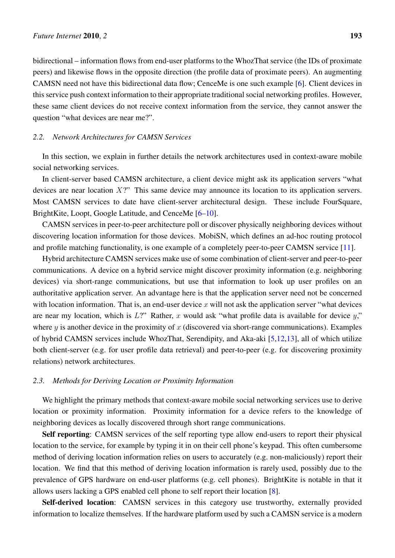bidirectional – information flows from end-user platforms to the WhozThat service (the IDs of proximate peers) and likewise flows in the opposite direction (the profile data of proximate peers). An augmenting CAMSN need not have this bidirectional data flow; CenceMe is one such example [6]. Client devices in this service push context information to their appropriate traditional social networking profiles. However, these same client devices do not receive context information from the service, they cannot answer the question "what devices are near me?".

#### *2.2. Network Architectures for CAMSN Services*

<span id="page-3-0"></span>In this section, we explain in further details the network architectures used in context-aware mobile social networking services.

In client-server based CAMSN architecture, a client device might ask its application servers "what devices are near location *X*?" This same device may announce its location to its application servers. Most CAMSN services to date have client-server architectural design. These include FourSquare, BrightKite, Loopt, Google Latitude, and CenceMe [6–10].

CAMSN services in peer-to-peer architecture poll or discover physically neighboring devices without discovering location information for those devices. MobiSN, which defines an ad-hoc routing protocol and profile matching functionality, is one example [of](#page-17-0) [a co](#page-17-1)mpletely peer-to-peer CAMSN service [11].

Hybrid architecture CAMSN services make use of some combination of client-server and peer-to-peer communications. A device on a hybrid service might discover proximity information (e.g. neighboring devices) via short-range communications, but use that information to look up user profiles [on](#page-17-2) an authoritative application server. An advantage here is that the application server need not be concerned with location information. That is, an end-user device  $x$  will not ask the application server "what devices" are near my location, which is *L*?" Rather, *x* would ask "what profile data is available for device *y*," where *y* is another device in the proximity of *x* (discovered via short-range communications). Examples of hybrid CAMSN services include WhozThat, Serendipity, and Aka-aki [5,12,13], all of which utilize both client-server (e.g. for user profile data retrieval) and peer-to-peer (e.g. for discovering proximity relations) network architectures.

## *2.3. Methods for Deriving Location or Proximity Information*

<span id="page-3-1"></span>We highlight the primary methods that context-aware mobile social networking services use to derive location or proximity information. Proximity information for a device refers to the knowledge of neighboring devices as locally discovered through short range communications.

Self reporting: CAMSN services of the self reporting type allow end-users to report their physical location to the service, for example by typing it in on their cell phone's keypad. This often cumbersome method of deriving location information relies on users to accurately (e.g. non-maliciously) report their location. We find that this method of deriving location information is rarely used, possibly due to the prevalence of GPS hardware on end-user platforms (e.g. cell phones). BrightKite is notable in that it allows users lacking a GPS enabled cell phone to self report their location [8].

Self-derived location: CAMSN services in this category use trustworthy, externally provided information to localize themselves. If the hardware platform used by such a CAMSN service is a modern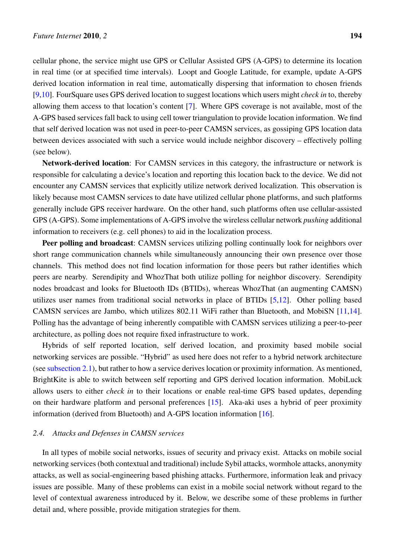cellular phone, the service might use GPS or Cellular Assisted GPS (A-GPS) to determine its location in real time (or at specified time intervals). Loopt and Google Latitude, for example, update A-GPS derived location information in real time, automatically dispersing that information to chosen friends [9,10]. FourSquare uses GPS derived location to suggest locations which users might *check in* to, thereby allowing them access to that location's content [7]. Where GPS coverage is not available, most of the A-GPS based services fall back to using cell tower triangulation to provide location information. We find t[h](#page-17-3)[at se](#page-17-1)lf derived location was not used in peer-to-peer CAMSN services, as gossiping GPS location data between devices associated with such a service [wo](#page-17-4)uld include neighbor discovery – effectively polling (see below).

Network-derived location: For CAMSN services in this category, the infrastructure or network is responsible for calculating a device's location and reporting this location back to the device. We did not encounter any CAMSN services that explicitly utilize network derived localization. This observation is likely because most CAMSN services to date have utilized cellular phone platforms, and such platforms generally include GPS receiver hardware. On the other hand, such platforms often use cellular-assisted GPS (A-GPS). Some implementations of A-GPS involve the wireless cellular network *pushing* additional information to receivers (e.g. cell phones) to aid in the localization process.

Peer polling and broadcast: CAMSN services utilizing polling continually look for neighbors over short range communication channels while simultaneously announcing their own presence over those channels. This method does not find location information for those peers but rather identifies which peers are nearby. Serendipity and WhozThat both utilize polling for neighbor discovery. Serendipity nodes broadcast and looks for Bluetooth IDs (BTIDs), whereas WhozThat (an augmenting CAMSN) utilizes user names from traditional social networks in place of BTIDs [5,12]. Other polling based CAMSN services are Jambo, which utilizes 802.11 WiFi rather than Bluetooth, and MobiSN [11,14]. Polling has the advantage of being inherently compatible with CAMSN services utilizing a peer-to-peer architecture, as polling does not require fixed infrastructure to work.

Hybrids of self reported location, self derived location, and proximity based mobile [so](#page-17-2)[cia](#page-17-5)l networking services are possible. "Hybrid" as used here does not refer to a hybrid network architecture (see subsection 2.1), but rather to how a service derives location or proximity information. As mentioned, BrightKite is able to switch between self reporting and GPS derived location information. MobiLuck allows users to either *check in* to their locations or enable real-time GPS based updates, depending on t[heir hardware](#page-2-0) platform and personal preferences [15]. Aka-aki uses a hybrid of peer proximity information (derived from Bluetooth) and A-GPS location information [16].

#### *2.4. Attacks and Defenses in CAMSN services*

In all types of mobile social networks, issues of security and privac[y ex](#page-17-6)ist. Attacks on mobile social networking services (both contextual and traditional) include Sybil attacks, wormhole attacks, anonymity attacks, as well as social-engineering based phishing attacks. Furthermore, information leak and privacy issues are possible. Many of these problems can exist in a mobile social network without regard to the level of contextual awareness introduced by it. Below, we describe some of these problems in further detail and, where possible, provide mitigation strategies for them.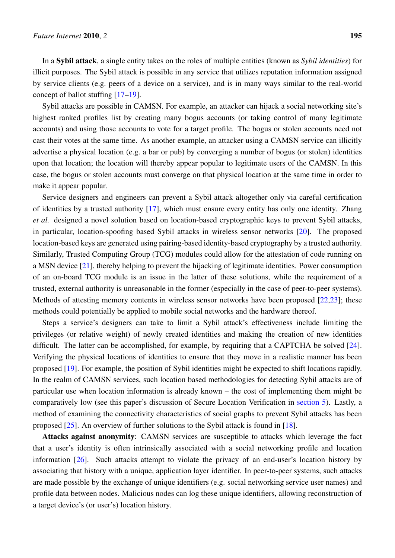In a Sybil attack, a single entity takes on the roles of multiple entities (known as *Sybil identities*) for illicit purposes. The Sybil attack is possible in any service that utilizes reputation information assigned by service clients (e.g. peers of a device on a service), and is in many ways similar to the real-world concept of ballot stuffing [17–19].

Sybil attacks are possible in CAMSN. For example, an attacker can hijack a social networking site's highest ranked profiles list by creating many bogus accounts (or taking control of many legitimate accounts) and using those [ac](#page-17-7)[coun](#page-17-8)ts to vote for a target profile. The bogus or stolen accounts need not cast their votes at the same time. As another example, an attacker using a CAMSN service can illicitly advertise a physical location (e.g. a bar or pub) by converging a number of bogus (or stolen) identities upon that location; the location will thereby appear popular to legitimate users of the CAMSN. In this case, the bogus or stolen accounts must converge on that physical location at the same time in order to make it appear popular.

Service designers and engineers can prevent a Sybil attack altogether only via careful certification of identities by a trusted authority [17], which must ensure every entity has only one identity. Zhang *et al.* designed a novel solution based on location-based cryptographic keys to prevent Sybil attacks, in particular, location-spoofing based Sybil attacks in wireless sensor networks [20]. The proposed location-based keys are generated us[ing](#page-17-7) pairing-based identity-based cryptography by a trusted authority. Similarly, Trusted Computing Group (TCG) modules could allow for the attestation of code running on a MSN device [21], thereby helping to prevent the hijacking of legitimate identities. [Pow](#page-17-9)er consumption of an on-board TCG module is an issue in the latter of these solutions, while the requirement of a trusted, external authority is unreasonable in the former (especially in the case of peer-to-peer systems). Methods of att[esti](#page-17-10)ng memory contents in wireless sensor networks have been proposed [22,23]; these methods could potentially be applied to mobile social networks and the hardware thereof.

Steps a service's designers can take to limit a Sybil attack's effectiveness include limiting the privileges (or relative weight) of newly created identities and making the creation of [new](#page-17-11) [id](#page-17-12)entities difficult. The latter can be accomplished, for example, by requiring that a CAPTCHA be solved [24]. Verifying the physical locations of identities to ensure that they move in a realistic manner has been proposed [19]. For example, the position of Sybil identities might be expected to shift locations rapidly. In the realm of CAMSN services, such location based methodologies for detecting Sybil attacks a[re o](#page-17-13)f particular use when location information is already known – the cost of implementing them might be comparati[vely](#page-17-8) low (see this paper's discussion of Secure Location Verification in section 5). Lastly, a method of examining the connectivity characteristics of social graphs to prevent Sybil attacks has been proposed [25]. An overview of further solutions to the Sybil attack is found in [18].

Attacks against anonymity: CAMSN services are susceptible to attacks wh[ich levera](#page-13-0)ge the fact that a user's identity is often intrinsically associated with a social networking profile and location informati[on \[](#page-17-14)26]. Such attacks attempt to violate the privacy of an end-u[ser's](#page-17-15) location history by associating that history with a unique, application layer identifier. In peer-to-peer systems, such attacks are made possible by the exchange of unique identifiers (e.g. social networking service user names) and profile data b[etw](#page-18-0)een nodes. Malicious nodes can log these unique identifiers, allowing reconstruction of a target device's (or user's) location history.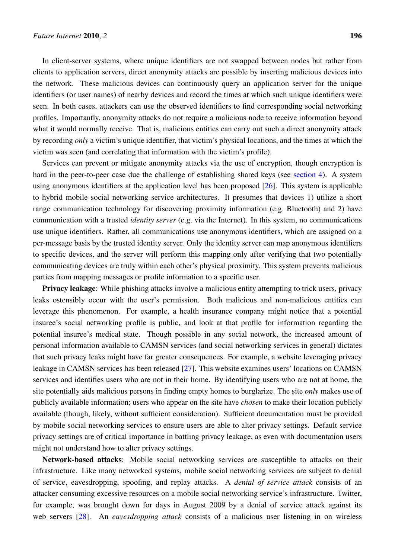In client-server systems, where unique identifiers are not swapped between nodes but rather from clients to application servers, direct anonymity attacks are possible by inserting malicious devices into the network. These malicious devices can continuously query an application server for the unique identifiers (or user names) of nearby devices and record the times at which such unique identifiers were seen. In both cases, attackers can use the observed identifiers to find corresponding social networking profiles. Importantly, anonymity attacks do not require a malicious node to receive information beyond what it would normally receive. That is, malicious entities can carry out such a direct anonymity attack by recording *only* a victim's unique identifier, that victim's physical locations, and the times at which the victim was seen (and correlating that information with the victim's profile).

Services can prevent or mitigate anonymity attacks via the use of encryption, though encryption is hard in the peer-to-peer case due the challenge of establishing shared keys (see section 4). A system using anonymous identifiers at the application level has been proposed [26]. This system is applicable to hybrid mobile social networking service architectures. It presumes that devices 1) utilize a short range communication technology for discovering proximity information (e.g. B[luetooth\)](#page-11-0) and 2) have communication with a trusted *identity server* (e.g. via the Internet). In t[his s](#page-18-0)ystem, no communications use unique identifiers. Rather, all communications use anonymous identifiers, which are assigned on a per-message basis by the trusted identity server. Only the identity server can map anonymous identifiers to specific devices, and the server will perform this mapping only after verifying that two potentially communicating devices are truly within each other's physical proximity. This system prevents malicious parties from mapping messages or profile information to a specific user.

Privacy leakage: While phishing attacks involve a malicious entity attempting to trick users, privacy leaks ostensibly occur with the user's permission. Both malicious and non-malicious entities can leverage this phenomenon. For example, a health insurance company might notice that a potential insuree's social networking profile is public, and look at that profile for information regarding the potential insuree's medical state. Though possible in any social network, the increased amount of personal information available to CAMSN services (and social networking services in general) dictates that such privacy leaks might have far greater consequences. For example, a website leveraging privacy leakage in CAMSN services has been released [27]. This website examines users' locations on CAMSN services and identifies users who are not in their home. By identifying users who are not at home, the site potentially aids malicious persons in finding empty homes to burglarize. The site *only* makes use of publicly available information; users who appe[ar o](#page-18-1)n the site have *chosen* to make their location publicly available (though, likely, without sufficient consideration). Sufficient documentation must be provided by mobile social networking services to ensure users are able to alter privacy settings. Default service privacy settings are of critical importance in battling privacy leakage, as even with documentation users might not understand how to alter privacy settings.

Network-based attacks: Mobile social networking services are susceptible to attacks on their infrastructure. Like many networked systems, mobile social networking services are subject to denial of service, eavesdropping, spoofing, and replay attacks. A *denial of service attack* consists of an attacker consuming excessive resources on a mobile social networking service's infrastructure. Twitter, for example, was brought down for days in August 2009 by a denial of service attack against its web servers [28]. An *eavesdropping attack* consists of a malicious user listening in on wireless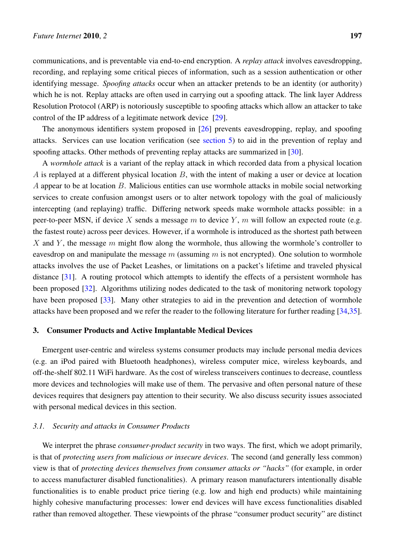communications, and is preventable via end-to-end encryption. A *replay attack* involves eavesdropping, recording, and replaying some critical pieces of information, such as a session authentication or other identifying message. *Spoofing attacks* occur when an attacker pretends to be an identity (or authority) which he is not. Replay attacks are often used in carrying out a spoofing attack. The link layer Address Resolution Protocol (ARP) is notoriously susceptible to spoofing attacks which allow an attacker to take control of the IP address of a legitimate network device [29].

The anonymous identifiers system proposed in [26] prevents eavesdropping, replay, and spoofing attacks. Services can use location verification (see section 5) to aid in the prevention of replay and spoofing attacks. Other methods of preventing replay att[acks](#page-18-2) are summarized in [30].

A *wormhole attack* is a variant of the replay atta[ck i](#page-18-0)n which recorded data from a physical location *A* is replayed at a different physical location *B*, wit[h the inten](#page-13-0)t of making a user or device at location *A* appear to be at location *B*. Malicious entities can use wormhole attacks in m[obil](#page-18-3)e social networking services to create confusion amongst users or to alter network topology with the goal of maliciously intercepting (and replaying) traffic. Differing network speeds make wormhole attacks possible: in a peer-to-peer MSN, if device *X* sends a message *m* to device *Y* , *m* will follow an expected route (e.g. the fastest route) across peer devices. However, if a wormhole is introduced as the shortest path between *X* and *Y* , the message *m* might flow along the wormhole, thus allowing the wormhole's controller to eavesdrop on and manipulate the message *m* (assuming *m* is not encrypted). One solution to wormhole attacks involves the use of Packet Leashes, or limitations on a packet's lifetime and traveled physical distance [31]. A routing protocol which attempts to identify the effects of a persistent wormhole has been proposed [32]. Algorithms utilizing nodes dedicated to the task of monitoring network topology have been proposed [33]. Many other strategies to aid in the prevention and detection of wormhole attacks h[ave](#page-18-4) been proposed and we refer the reader to the following literature for further reading [34,35].

#### 3. Consumer Prod[ucts](#page-18-5) and Active Implantable Medical Devices

<span id="page-7-0"></span>Emergent user-centric and wireless systems consumer products may include personal media [dev](#page-18-6)[ice](#page-18-7)s (e.g. an iPod paired with Bluetooth headphones), wireless computer mice, wireless keyboards, and off-the-shelf 802.11 WiFi hardware. As the cost of wireless transceivers continues to decrease, countless more devices and technologies will make use of them. The pervasive and often personal nature of these devices requires that designers pay attention to their security. We also discuss security issues associated with personal medical devices in this section.

## *3.1. Security and attacks in Consumer Products*

We interpret the phrase *consumer-product security* in two ways. The first, which we adopt primarily, is that of *protecting users from malicious or insecure devices*. The second (and generally less common) view is that of *protecting devices themselves from consumer attacks or "hacks"* (for example, in order to access manufacturer disabled functionalities). A primary reason manufacturers intentionally disable functionalities is to enable product price tiering (e.g. low and high end products) while maintaining highly cohesive manufacturing processes: lower end devices will have excess functionalities disabled rather than removed altogether. These viewpoints of the phrase "consumer product security" are distinct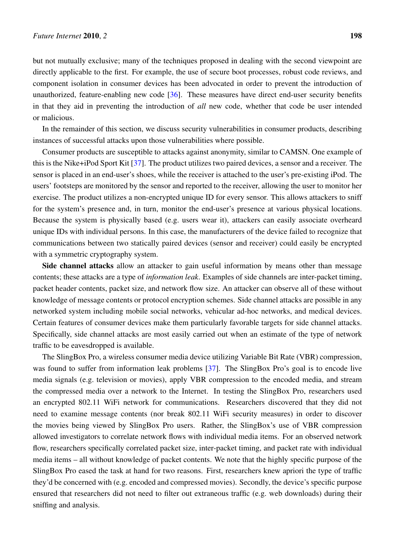but not mutually exclusive; many of the techniques proposed in dealing with the second viewpoint are directly applicable to the first. For example, the use of secure boot processes, robust code reviews, and component isolation in consumer devices has been advocated in order to prevent the introduction of unauthorized, feature-enabling new code [36]. These measures have direct end-user security benefits in that they aid in preventing the introduction of *all* new code, whether that code be user intended or malicious.

In the remainder of this section, we dis[cuss](#page-18-8) security vulnerabilities in consumer products, describing instances of successful attacks upon those vulnerabilities where possible.

Consumer products are susceptible to attacks against anonymity, similar to CAMSN. One example of this is the Nike+iPod Sport Kit [37]. The product utilizes two paired devices, a sensor and a receiver. The sensor is placed in an end-user's shoes, while the receiver is attached to the user's pre-existing iPod. The users' footsteps are monitored by the sensor and reported to the receiver, allowing the user to monitor her exercise. The product utilizes a [no](#page-18-9)n-encrypted unique ID for every sensor. This allows attackers to sniff for the system's presence and, in turn, monitor the end-user's presence at various physical locations. Because the system is physically based (e.g. users wear it), attackers can easily associate overheard unique IDs with individual persons. In this case, the manufacturers of the device failed to recognize that communications between two statically paired devices (sensor and receiver) could easily be encrypted with a symmetric cryptography system.

Side channel attacks allow an attacker to gain useful information by means other than message contents; these attacks are a type of *information leak*. Examples of side channels are inter-packet timing, packet header contents, packet size, and network flow size. An attacker can observe all of these without knowledge of message contents or protocol encryption schemes. Side channel attacks are possible in any networked system including mobile social networks, vehicular ad-hoc networks, and medical devices. Certain features of consumer devices make them particularly favorable targets for side channel attacks. Specifically, side channel attacks are most easily carried out when an estimate of the type of network traffic to be eavesdropped is available.

The SlingBox Pro, a wireless consumer media device utilizing Variable Bit Rate (VBR) compression, was found to suffer from information leak problems [37]. The SlingBox Pro's goal is to encode live media signals (e.g. television or movies), apply VBR compression to the encoded media, and stream the compressed media over a network to the Internet. In testing the SlingBox Pro, researchers used an encrypted 802.11 WiFi network for communicati[ons](#page-18-9). Researchers discovered that they did not need to examine message contents (nor break 802.11 WiFi security measures) in order to discover the movies being viewed by SlingBox Pro users. Rather, the SlingBox's use of VBR compression allowed investigators to correlate network flows with individual media items. For an observed network flow, researchers specifically correlated packet size, inter-packet timing, and packet rate with individual media items – all without knowledge of packet contents. We note that the highly specific purpose of the SlingBox Pro eased the task at hand for two reasons. First, researchers knew apriori the type of traffic they'd be concerned with (e.g. encoded and compressed movies). Secondly, the device's specific purpose ensured that researchers did not need to filter out extraneous traffic (e.g. web downloads) during their sniffing and analysis.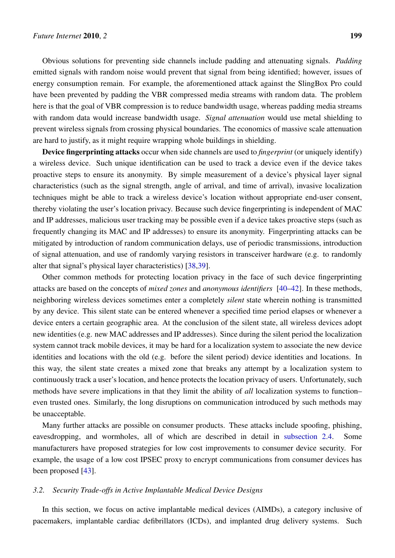Obvious solutions for preventing side channels include padding and attenuating signals. *Padding* emitted signals with random noise would prevent that signal from being identified; however, issues of energy consumption remain. For example, the aforementioned attack against the SlingBox Pro could have been prevented by padding the VBR compressed media streams with random data. The problem here is that the goal of VBR compression is to reduce bandwidth usage, whereas padding media streams with random data would increase bandwidth usage. *Signal attenuation* would use metal shielding to prevent wireless signals from crossing physical boundaries. The economics of massive scale attenuation are hard to justify, as it might require wrapping whole buildings in shielding.

Device fingerprinting attacks occur when side channels are used to *fingerprint* (or uniquely identify) a wireless device. Such unique identification can be used to track a device even if the device takes proactive steps to ensure its anonymity. By simple measurement of a device's physical layer signal characteristics (such as the signal strength, angle of arrival, and time of arrival), invasive localization techniques might be able to track a wireless device's location without appropriate end-user consent, thereby violating the user's location privacy. Because such device fingerprinting is independent of MAC and IP addresses, malicious user tracking may be possible even if a device takes proactive steps (such as frequently changing its MAC and IP addresses) to ensure its anonymity. Fingerprinting attacks can be mitigated by introduction of random communication delays, use of periodic transmissions, introduction of signal attenuation, and use of randomly varying resistors in transceiver hardware (e.g. to randomly alter that signal's physical layer characteristics) [38,39].

Other common methods for protecting location privacy in the face of such device fingerprinting attacks are based on the concepts of *mixed zones* and *anonymous identifiers* [40–42]. In these methods, neighboring wireless devices sometimes enter a [co](#page-18-10)[mp](#page-18-11)letely *silent* state wherein nothing is transmitted by any device. This silent state can be entered whenever a specified time period elapses or whenever a device enters a certain geographic area. At the conclusion of the silent state, [all](#page-19-0) [wir](#page-19-1)eless devices adopt new identities (e.g. new MAC addresses and IP addresses). Since during the silent period the localization system cannot track mobile devices, it may be hard for a localization system to associate the new device identities and locations with the old (e.g. before the silent period) device identities and locations. In this way, the silent state creates a mixed zone that breaks any attempt by a localization system to continuously track a user's location, and hence protects the location privacy of users. Unfortunately, such methods have severe implications in that they limit the ability of *all* localization systems to function– even trusted ones. Similarly, the long disruptions on communication introduced by such methods may be unacceptable.

Many further attacks are possible on consumer products. These attacks include spoofing, phishing, eavesdropping, and wormholes, all of which are described in detail in subsection 2.4. Some manufacturers have proposed strategies for low cost improvements to consumer device security. For example, the usage of a low cost IPSEC proxy to encrypt communications from consumer devices has been proposed [43].

## *3.2. Security Trade-offs in Active Implantable Medical Device Designs*

In this secti[on,](#page-19-2) we focus on active implantable medical devices (AIMDs), a category inclusive of pacemakers, implantable cardiac defibrillators (ICDs), and implanted drug delivery systems. Such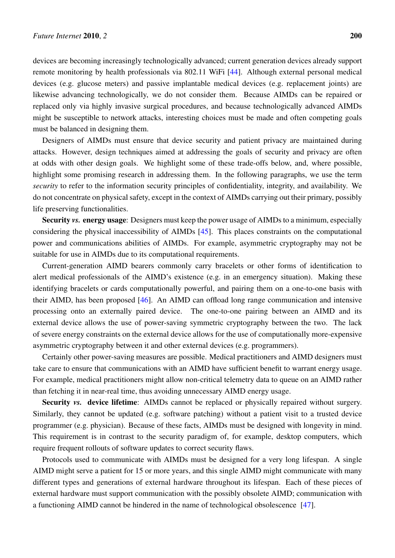devices are becoming increasingly technologically advanced; current generation devices already support remote monitoring by health professionals via 802.11 WiFi [44]. Although external personal medical devices (e.g. glucose meters) and passive implantable medical devices (e.g. replacement joints) are likewise advancing technologically, we do not consider them. Because AIMDs can be repaired or replaced only via highly invasive surgical procedures, and b[eca](#page-19-3)use technologically advanced AIMDs might be susceptible to network attacks, interesting choices must be made and often competing goals must be balanced in designing them.

Designers of AIMDs must ensure that device security and patient privacy are maintained during attacks. However, design techniques aimed at addressing the goals of security and privacy are often at odds with other design goals. We highlight some of these trade-offs below, and, where possible, highlight some promising research in addressing them. In the following paragraphs, we use the term *security* to refer to the information security principles of confidentiality, integrity, and availability. We do not concentrate on physical safety, except in the context of AIMDs carrying out their primary, possibly life preserving functionalities.

Security *vs.* energy usage: Designers must keep the power usage of AIMDs to a minimum, especially considering the physical inaccessibility of AIMDs [45]. This places constraints on the computational power and communications abilities of AIMDs. For example, asymmetric cryptography may not be suitable for use in AIMDs due to its computational requirements.

Current-generation AIMD bearers commonly c[arry](#page-19-4) bracelets or other forms of identification to alert medical professionals of the AIMD's existence (e.g. in an emergency situation). Making these identifying bracelets or cards computationally powerful, and pairing them on a one-to-one basis with their AIMD, has been proposed [46]. An AIMD can offload long range communication and intensive processing onto an externally paired device. The one-to-one pairing between an AIMD and its external device allows the use of power-saving symmetric cryptography between the two. The lack of severe energy constraints on th[e ex](#page-19-5)ternal device allows for the use of computationally more-expensive asymmetric cryptography between it and other external devices (e.g. programmers).

Certainly other power-saving measures are possible. Medical practitioners and AIMD designers must take care to ensure that communications with an AIMD have sufficient benefit to warrant energy usage. For example, medical practitioners might allow non-critical telemetry data to queue on an AIMD rather than fetching it in near-real time, thus avoiding unnecessary AIMD energy usage.

Security *vs.* device lifetime: AIMDs cannot be replaced or physically repaired without surgery. Similarly, they cannot be updated (e.g. software patching) without a patient visit to a trusted device programmer (e.g. physician). Because of these facts, AIMDs must be designed with longevity in mind. This requirement is in contrast to the security paradigm of, for example, desktop computers, which require frequent rollouts of software updates to correct security flaws.

Protocols used to communicate with AIMDs must be designed for a very long lifespan. A single AIMD might serve a patient for 15 or more years, and this single AIMD might communicate with many different types and generations of external hardware throughout its lifespan. Each of these pieces of external hardware must support communication with the possibly obsolete AIMD; communication with a functioning AIMD cannot be hindered in the name of technological obsolescence [47].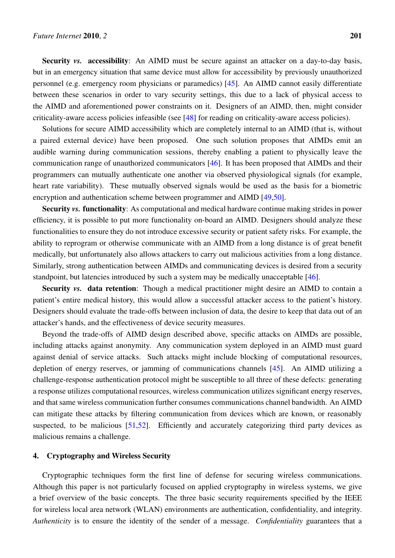Security *vs.* accessibility: An AIMD must be secure against an attacker on a day-to-day basis, but in an emergency situation that same device must allow for accessibility by previously unauthorized personnel (e.g. emergency room physicians or paramedics) [45]. An AIMD cannot easily differentiate between these scenarios in order to vary security settings, this due to a lack of physical access to the AIMD and aforementioned power constraints on it. Designers of an AIMD, then, might consider criticality-aware access policies infeasible (see [48] for readi[ng o](#page-19-4)n criticality-aware access policies).

Solutions for secure AIMD accessibility which are completely internal to an AIMD (that is, without a paired external device) have been proposed. One such solution proposes that AIMDs emit an audible warning during communication sessio[ns,](#page-19-6) thereby enabling a patient to physically leave the communication range of unauthorized communicators [46]. It has been proposed that AIMDs and their programmers can mutually authenticate one another via observed physiological signals (for example, heart rate variability). These mutually observed signals would be used as the basis for a biometric encryption and authentication scheme between progra[mme](#page-19-5)r and AIMD [49,50].

Security *vs.* functionality: As computational and medical hardware continue making strides in power efficiency, it is possible to put more functionality on-board an AIMD. Designers should analyze these functionalities to ensure they do not introduce excessive security or patie[nt s](#page-19-7)[afet](#page-19-8)y risks. For example, the ability to reprogram or otherwise communicate with an AIMD from a long distance is of great benefit medically, but unfortunately also allows attackers to carry out malicious activities from a long distance. Similarly, strong authentication between AIMDs and communicating devices is desired from a security standpoint, but latencies introduced by such a system may be medically unacceptable [46].

Security *vs.* data retention: Though a medical practitioner might desire an AIMD to contain a patient's entire medical history, this would allow a successful attacker access to the patient's history. Designers should evaluate the trade-offs between inclusion of data, the desire to keep t[hat](#page-19-5) data out of an attacker's hands, and the effectiveness of device security measures.

Beyond the trade-offs of AIMD design described above, specific attacks on AIMDs are possible, including attacks against anonymity. Any communication system deployed in an AIMD must guard against denial of service attacks. Such attacks might include blocking of computational resources, depletion of energy reserves, or jamming of communications channels [45]. An AIMD utilizing a challenge-response authentication protocol might be susceptible to all three of these defects: generating a response utilizes computational resources, wireless communication utilizes significant energy reserves, and that same wireless communication further consumes communications c[hann](#page-19-4)el bandwidth. An AIMD can mitigate these attacks by filtering communication from devices which are known, or reasonably suspected, to be malicious [51,52]. Efficiently and accurately categorizing third party devices as malicious remains a challenge.

## 4. Cryptography and Wir[eles](#page-19-9)[s S](#page-20-0)ecurity

<span id="page-11-0"></span>Cryptographic techniques form the first line of defense for securing wireless communications. Although this paper is not particularly focused on applied cryptography in wireless systems, we give a brief overview of the basic concepts. The three basic security requirements specified by the IEEE for wireless local area network (WLAN) environments are authentication, confidentiality, and integrity. *Authenticity* is to ensure the identity of the sender of a message. *Confidentiality* guarantees that a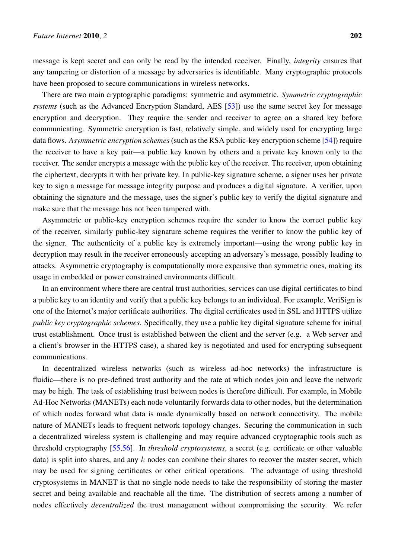There are two main cryptographic paradigms: symmetric and asymmetric. *Symmetric cryptographic systems* (such as the Advanced Encryption Standard, AES [53]) use the same secret key for message encryption and decryption. They require the sender and receiver to agree on a shared key before communicating. Symmetric encryption is fast, relatively simple, and widely used for encrypting large data flows. *Asymmetric encryption schemes*(such as the RSA [pub](#page-20-1)lic-key encryption scheme [54]) require the receiver to have a key pair—a public key known by others and a private key known only to the receiver. The sender encrypts a message with the public key of the receiver. The receiver, upon obtaining the ciphertext, decrypts it with her private key. In public-key signature scheme, a signer use[s he](#page-20-2)r private key to sign a message for message integrity purpose and produces a digital signature. A verifier, upon obtaining the signature and the message, uses the signer's public key to verify the digital signature and make sure that the message has not been tampered with.

have been proposed to secure communications in wireless networks.

Asymmetric or public-key encryption schemes require the sender to know the correct public key of the receiver, similarly public-key signature scheme requires the verifier to know the public key of the signer. The authenticity of a public key is extremely important—using the wrong public key in decryption may result in the receiver erroneously accepting an adversary's message, possibly leading to attacks. Asymmetric cryptography is computationally more expensive than symmetric ones, making its usage in embedded or power constrained environments difficult.

In an environment where there are central trust authorities, services can use digital certificates to bind a public key to an identity and verify that a public key belongs to an individual. For example, VeriSign is one of the Internet's major certificate authorities. The digital certificates used in SSL and HTTPS utilize *public key cryptographic schemes*. Specifically, they use a public key digital signature scheme for initial trust establishment. Once trust is established between the client and the server (e.g. a Web server and a client's browser in the HTTPS case), a shared key is negotiated and used for encrypting subsequent communications.

In decentralized wireless networks (such as wireless ad-hoc networks) the infrastructure is fluidic—there is no pre-defined trust authority and the rate at which nodes join and leave the network may be high. The task of establishing trust between nodes is therefore difficult. For example, in Mobile Ad-Hoc Networks (MANETs) each node voluntarily forwards data to other nodes, but the determination of which nodes forward what data is made dynamically based on network connectivity. The mobile nature of MANETs leads to frequent network topology changes. Securing the communication in such a decentralized wireless system is challenging and may require advanced cryptographic tools such as threshold cryptography [55,56]. In *threshold cryptosystems*, a secret (e.g. certificate or other valuable data) is split into shares, and any *k* nodes can combine their shares to recover the master secret, which may be used for signing certificates or other critical operations. The advantage of using threshold cryptosystems in MAN[ET](#page-20-3) [is th](#page-20-4)at no single node needs to take the responsibility of storing the master secret and being available and reachable all the time. The distribution of secrets among a number of nodes effectively *decentralized* the trust management without compromising the security. We refer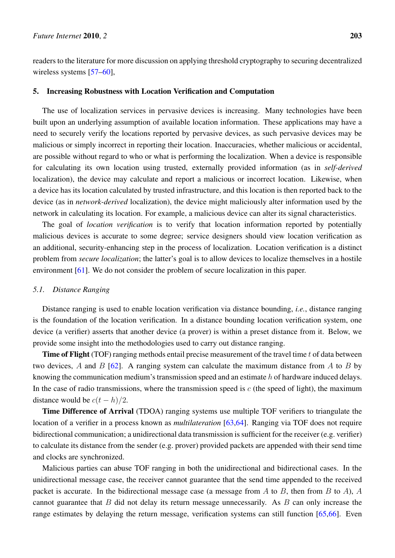readers to the literature for more discussion on applying threshold cryptography to securing decentralized wireless systems [57–60],

# 5. Increasing Robustness with Location Verification and Computation

<span id="page-13-0"></span>The use of loc[aliz](#page-20-5)[atio](#page-20-6)n services in pervasive devices is increasing. Many technologies have been built upon an underlying assumption of available location information. These applications may have a need to securely verify the locations reported by pervasive devices, as such pervasive devices may be malicious or simply incorrect in reporting their location. Inaccuracies, whether malicious or accidental, are possible without regard to who or what is performing the localization. When a device is responsible for calculating its own location using trusted, externally provided information (as in *self-derived* localization), the device may calculate and report a malicious or incorrect location. Likewise, when a device has its location calculated by trusted infrastructure, and this location is then reported back to the device (as in *network-derived* localization), the device might maliciously alter information used by the network in calculating its location. For example, a malicious device can alter its signal characteristics.

The goal of *location verification* is to verify that location information reported by potentially malicious devices is accurate to some degree; service designers should view location verification as an additional, security-enhancing step in the process of localization. Location verification is a distinct problem from *secure localization*; the latter's goal is to allow devices to localize themselves in a hostile environment [61]. We do not consider the problem of secure localization in this paper.

#### *5.1. Distance Ranging*

Distance r[ang](#page-20-7)ing is used to enable location verification via distance bounding, *i.e.*, distance ranging is the foundation of the location verification. In a distance bounding location verification system, one device (a verifier) asserts that another device (a prover) is within a preset distance from it. Below, we provide some insight into the methodologies used to carry out distance ranging.

Time of Flight (TOF) ranging methods entail precise measurement of the travel time *t* of data between two devices, *A* and *B* [62]. A ranging system can calculate the maximum distance from *A* to *B* by knowing the communication medium's transmission speed and an estimate *h* of hardware induced delays. In the case of radio transmissions, where the transmission speed is  $c$  (the speed of light), the maximum distance would be  $c(t - h)/2$  $c(t - h)/2$  $c(t - h)/2$ .

Time Difference of Arrival (TDOA) ranging systems use multiple TOF verifiers to triangulate the location of a verifier in a process known as *multilateration* [63,64]. Ranging via TOF does not require bidirectional communication; a unidirectional data transmission is sufficient for the receiver (e.g. verifier) to calculate its distance from the sender (e.g. prover) provided packets are appended with their send time and clocks are synchronized.

Malicious parties can abuse TOF ranging in both the unidirectional and bidirectional cases. In the unidirectional message case, the receiver cannot guarantee that the send time appended to the received packet is accurate. In the bidirectional message case (a message from *A* to *B*, then from *B* to *A*), *A* cannot guarantee that *B* did not delay its return message unnecessarily. As *B* can only increase the range estimates by delaying the return message, verification systems can still function [65,66]. Even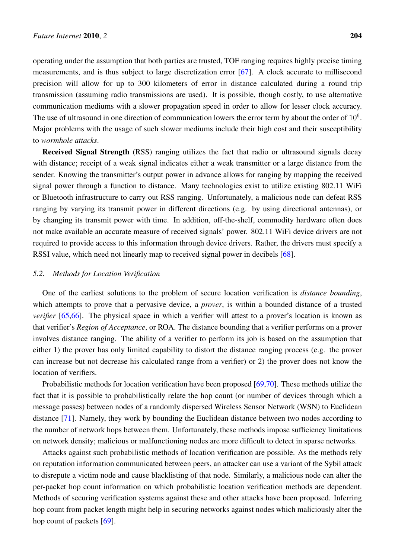operating under the assumption that both parties are trusted, TOF ranging requires highly precise timing measurements, and is thus subject to large discretization error [67]. A clock accurate to millisecond precision will allow for up to 300 kilometers of error in distance calculated during a round trip transmission (assuming radio transmissions are used). It is possible, though costly, to use alternative communication mediums with a slower propagation speed in or[der](#page-21-0) to allow for lesser clock accuracy. The use of ultrasound in one direction of communication lowers the error term by about the order of  $10^6$ . Major problems with the usage of such slower mediums include their high cost and their susceptibility to *wormhole attacks*.

Received Signal Strength (RSS) ranging utilizes the fact that radio or ultrasound signals decay with distance; receipt of a weak signal indicates either a weak transmitter or a large distance from the sender. Knowing the transmitter's output power in advance allows for ranging by mapping the received signal power through a function to distance. Many technologies exist to utilize existing 802.11 WiFi or Bluetooth infrastructure to carry out RSS ranging. Unfortunately, a malicious node can defeat RSS ranging by varying its transmit power in different directions (e.g. by using directional antennas), or by changing its transmit power with time. In addition, off-the-shelf, commodity hardware often does not make available an accurate measure of received signals' power. 802.11 WiFi device drivers are not required to provide access to this information through device drivers. Rather, the drivers must specify a RSSI value, which need not linearly map to received signal power in decibels [68].

## *5.2. Methods for Location Verification*

One of the earliest solutions to the problem of secure location verificati[on](#page-21-1) is *distance bounding*, which attempts to prove that a pervasive device, a *prover*, is within a bounded distance of a trusted *verifier* [65,66]. The physical space in which a verifier will attest to a prover's location is known as that verifier's *Region of Acceptance*, or ROA. The distance bounding that a verifier performs on a prover involves distance ranging. The ability of a verifier to perform its job is based on the assumption that either 1) [the](#page-20-9) [pr](#page-21-2)over has only limited capability to distort the distance ranging process (e.g. the prover can increase but not decrease his calculated range from a verifier) or 2) the prover does not know the location of verifiers.

Probabilistic methods for location verification have been proposed [69,70]. These methods utilize the fact that it is possible to probabilistically relate the hop count (or number of devices through which a message passes) between nodes of a randomly dispersed Wireless Sensor Network (WSN) to Euclidean distance [71]. Namely, they work by bounding the Euclidean distanc[e be](#page-21-3)[twe](#page-21-4)en two nodes according to the number of network hops between them. Unfortunately, these methods impose sufficiency limitations on network density; malicious or malfunctioning nodes are more difficult to detect in sparse networks.

Attac[ks ag](#page-21-5)ainst such probabilistic methods of location verification are possible. As the methods rely on reputation information communicated between peers, an attacker can use a variant of the Sybil attack to disrepute a victim node and cause blacklisting of that node. Similarly, a malicious node can alter the per-packet hop count information on which probabilistic location verification methods are dependent. Methods of securing verification systems against these and other attacks have been proposed. Inferring hop count from packet length might help in securing networks against nodes which maliciously alter the hop count of packets [69].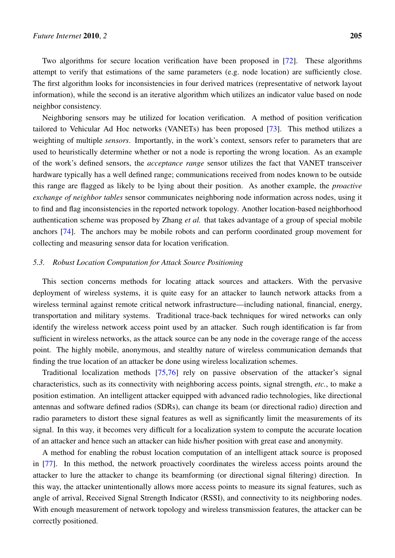Two algorithms for secure location verification have been proposed in [72]. These algorithms attempt to verify that estimations of the same parameters (e.g. node location) are sufficiently close. The first algorithm looks for inconsistencies in four derived matrices (representative of network layout information), while the second is an iterative algorithm which utilizes an indic[ator](#page-21-6) value based on node neighbor consistency.

Neighboring sensors may be utilized for location verification. A method of position verification tailored to Vehicular Ad Hoc networks (VANETs) has been proposed [73]. This method utilizes a weighting of multiple *sensors*. Importantly, in the work's context, sensors refer to parameters that are used to heuristically determine whether or not a node is reporting the wrong location. As an example of the work's defined sensors, the *acceptance range* sensor utilizes the [fac](#page-21-7)t that VANET transceiver hardware typically has a well defined range; communications received from nodes known to be outside this range are flagged as likely to be lying about their position. As another example, the *proactive exchange of neighbor tables* sensor communicates neighboring node information across nodes, using it to find and flag inconsistencies in the reported network topology. Another location-based neighborhood authentication scheme was proposed by Zhang *et al.* that takes advantage of a group of special mobile anchors [74]. The anchors may be mobile robots and can perform coordinated group movement for collecting and measuring sensor data for location verification.

## *5.3. Ro[bus](#page-21-8)t Location Computation for Attack Source Positioning*

This section concerns methods for locating attack sources and attackers. With the pervasive deployment of wireless systems, it is quite easy for an attacker to launch network attacks from a wireless terminal against remote critical network infrastructure—including national, financial, energy, transportation and military systems. Traditional trace-back techniques for wired networks can only identify the wireless network access point used by an attacker. Such rough identification is far from sufficient in wireless networks, as the attack source can be any node in the coverage range of the access point. The highly mobile, anonymous, and stealthy nature of wireless communication demands that finding the true location of an attacker be done using wireless localization schemes.

Traditional localization methods [75,76] rely on passive observation of the attacker's signal characteristics, such as its connectivity with neighboring access points, signal strength, *etc.*, to make a position estimation. An intelligent attacker equipped with advanced radio technologies, like directional antennas and software defined radios ([SD](#page-21-9)[Rs\)](#page-21-10), can change its beam (or directional radio) direction and radio parameters to distort these signal features as well as significantly limit the measurements of its signal. In this way, it becomes very difficult for a localization system to compute the accurate location of an attacker and hence such an attacker can hide his/her position with great ease and anonymity.

A method for enabling the robust location computation of an intelligent attack source is proposed in [77]. In this method, the network proactively coordinates the wireless access points around the attacker to lure the attacker to change its beamforming (or directional signal filtering) direction. In this way, the attacker unintentionally allows more access points to measure its signal features, such as ang[le o](#page-21-11)f arrival, Received Signal Strength Indicator (RSSI), and connectivity to its neighboring nodes. With enough measurement of network topology and wireless transmission features, the attacker can be correctly positioned.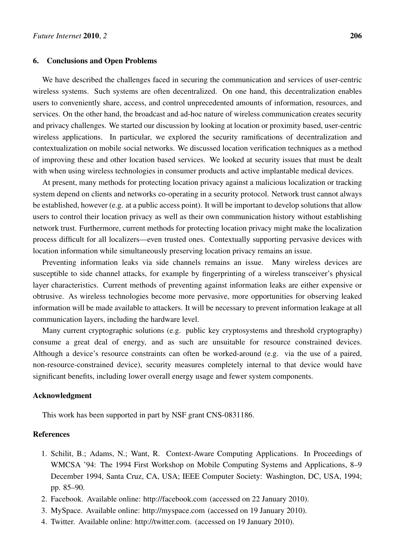#### <span id="page-16-0"></span>6. Conclusions and Open Problems

We have described the challenges faced in securing the communication and services of user-centric wireless systems. Such systems are often decentralized. On one hand, this decentralization enables users to conveniently share, access, and control unprecedented amounts of information, resources, and services. On the other hand, the broadcast and ad-hoc nature of wireless communication creates security and privacy challenges. We started our discussion by looking at location or proximity based, user-centric wireless applications. In particular, we explored the security ramifications of decentralization and contextualization on mobile social networks. We discussed location verification techniques as a method of improving these and other location based services. We looked at security issues that must be dealt with when using wireless technologies in consumer products and active implantable medical devices.

At present, many methods for protecting location privacy against a malicious localization or tracking system depend on clients and networks co-operating in a security protocol. Network trust cannot always be established, however (e.g. at a public access point). It will be important to develop solutions that allow users to control their location privacy as well as their own communication history without establishing network trust. Furthermore, current methods for protecting location privacy might make the localization process difficult for all localizers—even trusted ones. Contextually supporting pervasive devices with location information while simultaneously preserving location privacy remains an issue.

Preventing information leaks via side channels remains an issue. Many wireless devices are susceptible to side channel attacks, for example by fingerprinting of a wireless transceiver's physical layer characteristics. Current methods of preventing against information leaks are either expensive or obtrusive. As wireless technologies become more pervasive, more opportunities for observing leaked information will be made available to attackers. It will be necessary to prevent information leakage at all communication layers, including the hardware level.

Many current cryptographic solutions (e.g. public key cryptosystems and threshold cryptography) consume a great deal of energy, and as such are unsuitable for resource constrained devices. Although a device's resource constraints can often be worked-around (e.g. via the use of a paired, non-resource-constrained device), security measures completely internal to that device would have significant benefits, including lower overall energy usage and fewer system components.

## Acknowledgment

This work has been supported in part by NSF grant CNS-0831186.

# References

- <span id="page-16-1"></span>1. Schilit, B.; Adams, N.; Want, R. Context-Aware Computing Applications. In Proceedings of WMCSA '94: The 1994 First Workshop on Mobile Computing Systems and Applications, 8–9 December 1994, Santa Cruz, CA, USA; IEEE Computer Society: Washington, DC, USA, 1994; pp. 85–90.
- <span id="page-16-2"></span>2. Facebook. Available online: http://facebook.com (accessed on 22 January 2010).
- <span id="page-16-3"></span>3. MySpace. Available online: http://myspace.com (accessed on 19 January 2010).
- 4. Twitter. Available online: http://twitter.com. (accessed on 19 January 2010).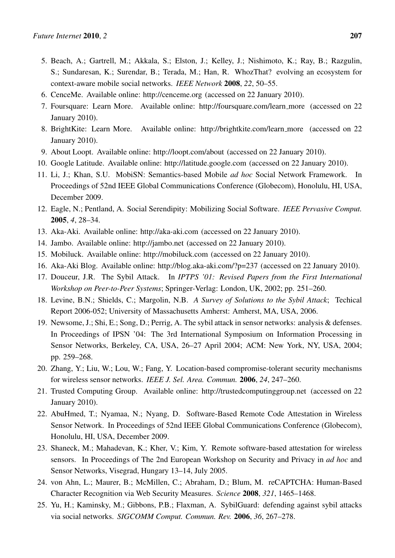- 5. Beach, A.; Gartrell, M.; Akkala, S.; Elston, J.; Kelley, J.; Nishimoto, K.; Ray, B.; Razgulin, S.; Sundaresan, K.; Surendar, B.; Terada, M.; Han, R. WhozThat? evolving an ecosystem for context-aware mobile social networks. *IEEE Network* 2008, *22*, 50–55.
- <span id="page-17-0"></span>6. CenceMe. Available online: http://cenceme.org (accessed on 22 January 2010).
- <span id="page-17-4"></span>7. Foursquare: Learn More. Available online: http://foursquare.com/learn more (accessed on 22 January 2010).
- 8. BrightKite: Learn More. Available online: http://brightkite.com/learn more (accessed on 22 January 2010).
- <span id="page-17-3"></span>9. About Loopt. Available online: http://loopt.com/about (accessed on 22 January 2010).
- <span id="page-17-1"></span>10. Google Latitude. Available online: http://latitude.google.com (accessed on 22 January 2010).
- <span id="page-17-2"></span>11. Li, J.; Khan, S.U. MobiSN: Semantics-based Mobile *ad hoc* Social Network Framework. In Proceedings of 52nd IEEE Global Communications Conference (Globecom), Honolulu, HI, USA, December 2009.
- 12. Eagle, N.; Pentland, A. Social Serendipity: Mobilizing Social Software. *IEEE Pervasive Comput.* 2005, *4*, 28–34.
- 13. Aka-Aki. Available online: http://aka-aki.com (accessed on 22 January 2010).
- <span id="page-17-5"></span>14. Jambo. Available online: http://jambo.net (accessed on 22 January 2010).
- 15. Mobiluck. Available online: http://mobiluck.com (accessed on 22 January 2010).
- <span id="page-17-6"></span>16. Aka-Aki Blog. Available online: http://blog.aka-aki.com/?p=237 (accessed on 22 January 2010).
- <span id="page-17-7"></span>17. Douceur, J.R. The Sybil Attack. In *IPTPS '01: Revised Papers from the First International Workshop on Peer-to-Peer Systems*; Springer-Verlag: London, UK, 2002; pp. 251–260.
- <span id="page-17-15"></span>18. Levine, B.N.; Shields, C.; Margolin, N.B. *A Survey of Solutions to the Sybil Attack*; Techical Report 2006-052; University of Massachusetts Amherst: Amherst, MA, USA, 2006.
- <span id="page-17-8"></span>19. Newsome, J.; Shi, E.; Song, D.; Perrig, A. The sybil attack in sensor networks: analysis & defenses. In Proceedings of IPSN '04: The 3rd International Symposium on Information Processing in Sensor Networks, Berkeley, CA, USA, 26–27 April 2004; ACM: New York, NY, USA, 2004; pp. 259–268.
- <span id="page-17-9"></span>20. Zhang, Y.; Liu, W.; Lou, W.; Fang, Y. Location-based compromise-tolerant security mechanisms for wireless sensor networks. *IEEE J. Sel. Area. Commun.* 2006, *24*, 247–260.
- <span id="page-17-10"></span>21. Trusted Computing Group. Available online: http://trustedcomputinggroup.net (accessed on 22 January 2010).
- <span id="page-17-11"></span>22. AbuHmed, T.; Nyamaa, N.; Nyang, D. Software-Based Remote Code Attestation in Wireless Sensor Network. In Proceedings of 52nd IEEE Global Communications Conference (Globecom), Honolulu, HI, USA, December 2009.
- <span id="page-17-12"></span>23. Shaneck, M.; Mahadevan, K.; Kher, V.; Kim, Y. Remote software-based attestation for wireless sensors. In Proceedings of The 2nd European Workshop on Security and Privacy in *ad hoc* and Sensor Networks, Visegrad, Hungary 13–14, July 2005.
- <span id="page-17-13"></span>24. von Ahn, L.; Maurer, B.; McMillen, C.; Abraham, D.; Blum, M. reCAPTCHA: Human-Based Character Recognition via Web Security Measures. *Science* 2008, *321*, 1465–1468.
- <span id="page-17-14"></span>25. Yu, H.; Kaminsky, M.; Gibbons, P.B.; Flaxman, A. SybilGuard: defending against sybil attacks via social networks. *SIGCOMM Comput. Commun. Rev.* 2006, *36*, 267–278.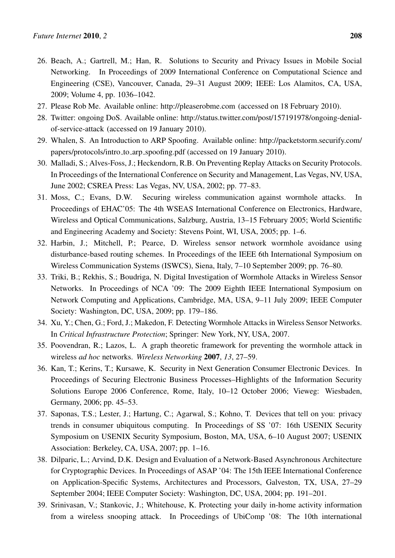- <span id="page-18-0"></span>26. Beach, A.; Gartrell, M.; Han, R. Solutions to Security and Privacy Issues in Mobile Social Networking. In Proceedings of 2009 International Conference on Computational Science and Engineering (CSE), Vancouver, Canada, 29–31 August 2009; IEEE: Los Alamitos, CA, USA, 2009; Volume 4, pp. 1036–1042.
- <span id="page-18-1"></span>27. Please Rob Me. Available online: http://pleaserobme.com (accessed on 18 February 2010).
- 28. Twitter: ongoing DoS. Available online: http://status.twitter.com/post/157191978/ongoing-denialof-service-attack (accessed on 19 January 2010).
- <span id="page-18-2"></span>29. Whalen, S. An Introduction to ARP Spoofing. Available online: http://packetstorm.securify.com/ papers/protocols/intro to arp spoofing.pdf (accessed on 19 January 2010).
- <span id="page-18-3"></span>30. Malladi, S.; Alves-Foss, J.; Heckendorn, R.B. On Preventing Replay Attacks on Security Protocols. In Proceedings of the International Conference on Security and Management, Las Vegas, NV, USA, June 2002; CSREA Press: Las Vegas, NV, USA, 2002; pp. 77–83.
- <span id="page-18-4"></span>31. Moss, C.; Evans, D.W. Securing wireless communication against wormhole attacks. In Proceedings of EHAC'05: The 4th WSEAS International Conference on Electronics, Hardware, Wireless and Optical Communications, Salzburg, Austria, 13–15 February 2005; World Scientific and Engineering Academy and Society: Stevens Point, WI, USA, 2005; pp. 1–6.
- 32. Harbin, J.; Mitchell, P.; Pearce, D. Wireless sensor network wormhole avoidance using disturbance-based routing schemes. In Proceedings of the IEEE 6th International Symposium on Wireless Communication Systems (ISWCS), Siena, Italy, 7–10 September 2009; pp. 76–80.
- <span id="page-18-5"></span>33. Triki, B.; Rekhis, S.; Boudriga, N. Digital Investigation of Wormhole Attacks in Wireless Sensor Networks. In Proceedings of NCA '09: The 2009 Eighth IEEE International Symposium on Network Computing and Applications, Cambridge, MA, USA, 9–11 July 2009; IEEE Computer Society: Washington, DC, USA, 2009; pp. 179–186.
- <span id="page-18-6"></span>34. Xu, Y.; Chen, G.; Ford, J.; Makedon, F. Detecting Wormhole Attacks in Wireless Sensor Networks. In *Critical Infrastructure Protection*; Springer: New York, NY, USA, 2007.
- <span id="page-18-7"></span>35. Poovendran, R.; Lazos, L. A graph theoretic framework for preventing the wormhole attack in wireless *ad hoc* networks. *Wireless Networking* 2007, *13*, 27–59.
- <span id="page-18-8"></span>36. Kan, T.; Kerins, T.; Kursawe, K. Security in Next Generation Consumer Electronic Devices. In Proceedings of Securing Electronic Business Processes–Highlights of the Information Security Solutions Europe 2006 Conference, Rome, Italy, 10–12 October 2006; Vieweg: Wiesbaden, Germany, 2006; pp. 45–53.
- <span id="page-18-9"></span>37. Saponas, T.S.; Lester, J.; Hartung, C.; Agarwal, S.; Kohno, T. Devices that tell on you: privacy trends in consumer ubiquitous computing. In Proceedings of SS '07: 16th USENIX Security Symposium on USENIX Security Symposium, Boston, MA, USA, 6–10 August 2007; USENIX Association: Berkeley, CA, USA, 2007; pp. 1–16.
- <span id="page-18-10"></span>38. Dilparic, L.; Arvind, D.K. Design and Evaluation of a Network-Based Asynchronous Architecture for Cryptographic Devices. In Proceedings of ASAP '04: The 15th IEEE International Conference on Application-Specific Systems, Architectures and Processors, Galveston, TX, USA, 27–29 September 2004; IEEE Computer Society: Washington, DC, USA, 2004; pp. 191–201.
- <span id="page-18-11"></span>39. Srinivasan, V.; Stankovic, J.; Whitehouse, K. Protecting your daily in-home activity information from a wireless snooping attack. In Proceedings of UbiComp '08: The 10th international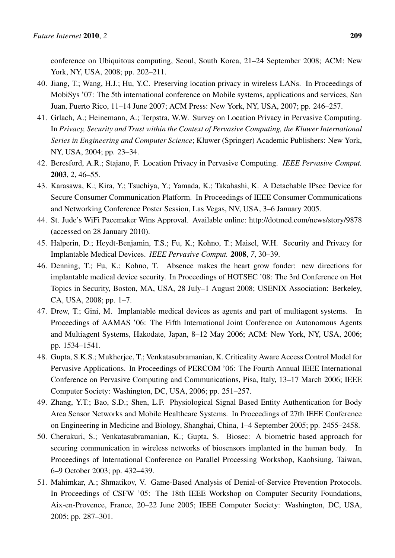conference on Ubiquitous computing, Seoul, South Korea, 21–24 September 2008; ACM: New York, NY, USA, 2008; pp. 202–211.

- <span id="page-19-0"></span>40. Jiang, T.; Wang, H.J.; Hu, Y.C. Preserving location privacy in wireless LANs. In Proceedings of MobiSys '07: The 5th international conference on Mobile systems, applications and services, San Juan, Puerto Rico, 11–14 June 2007; ACM Press: New York, NY, USA, 2007; pp. 246–257.
- 41. Grlach, A.; Heinemann, A.; Terpstra, W.W. Survey on Location Privacy in Pervasive Computing. In *Privacy, Security and Trust within the Context of Pervasive Computing, the Kluwer International Series in Engineering and Computer Science*; Kluwer (Springer) Academic Publishers: New York, NY, USA, 2004; pp. 23–34.
- <span id="page-19-1"></span>42. Beresford, A.R.; Stajano, F. Location Privacy in Pervasive Computing. *IEEE Pervasive Comput.* 2003, *2*, 46–55.
- <span id="page-19-2"></span>43. Karasawa, K.; Kira, Y.; Tsuchiya, Y.; Yamada, K.; Takahashi, K. A Detachable IPsec Device for Secure Consumer Communication Platform. In Proceedings of IEEE Consumer Communications and Networking Conference Poster Session, Las Vegas, NV, USA, 3–6 January 2005.
- <span id="page-19-3"></span>44. St. Jude's WiFi Pacemaker Wins Approval. Available online: http://dotmed.com/news/story/9878 (accessed on 28 January 2010).
- <span id="page-19-4"></span>45. Halperin, D.; Heydt-Benjamin, T.S.; Fu, K.; Kohno, T.; Maisel, W.H. Security and Privacy for Implantable Medical Devices. *IEEE Pervasive Comput.* 2008, *7*, 30–39.
- <span id="page-19-5"></span>46. Denning, T.; Fu, K.; Kohno, T. Absence makes the heart grow fonder: new directions for implantable medical device security. In Proceedings of HOTSEC '08: The 3rd Conference on Hot Topics in Security, Boston, MA, USA, 28 July–1 August 2008; USENIX Association: Berkeley, CA, USA, 2008; pp. 1–7.
- 47. Drew, T.; Gini, M. Implantable medical devices as agents and part of multiagent systems. In Proceedings of AAMAS '06: The Fifth International Joint Conference on Autonomous Agents and Multiagent Systems, Hakodate, Japan, 8–12 May 2006; ACM: New York, NY, USA, 2006; pp. 1534–1541.
- <span id="page-19-6"></span>48. Gupta, S.K.S.; Mukherjee, T.; Venkatasubramanian, K. Criticality Aware Access Control Model for Pervasive Applications. In Proceedings of PERCOM '06: The Fourth Annual IEEE International Conference on Pervasive Computing and Communications, Pisa, Italy, 13–17 March 2006; IEEE Computer Society: Washington, DC, USA, 2006; pp. 251–257.
- <span id="page-19-7"></span>49. Zhang, Y.T.; Bao, S.D.; Shen, L.F. Physiological Signal Based Entity Authentication for Body Area Sensor Networks and Mobile Healthcare Systems. In Proceedings of 27th IEEE Conference on Engineering in Medicine and Biology, Shanghai, China, 1–4 September 2005; pp. 2455–2458.
- <span id="page-19-8"></span>50. Cherukuri, S.; Venkatasubramanian, K.; Gupta, S. Biosec: A biometric based approach for securing communication in wireless networks of biosensors implanted in the human body. In Proceedings of International Conference on Parallel Processing Workshop, Kaohsiung, Taiwan, 6–9 October 2003; pp. 432–439.
- <span id="page-19-9"></span>51. Mahimkar, A.; Shmatikov, V. Game-Based Analysis of Denial-of-Service Prevention Protocols. In Proceedings of CSFW '05: The 18th IEEE Workshop on Computer Security Foundations, Aix-en-Provence, France, 20–22 June 2005; IEEE Computer Society: Washington, DC, USA, 2005; pp. 287–301.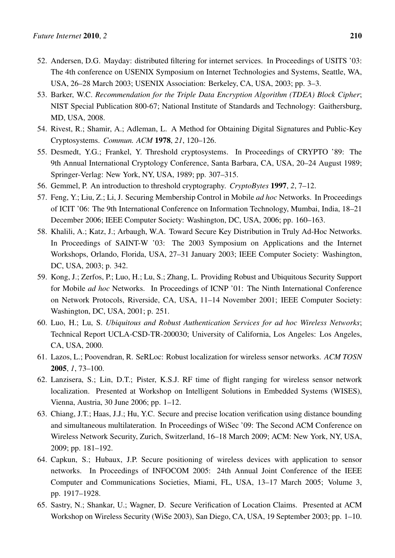- <span id="page-20-0"></span>52. Andersen, D.G. Mayday: distributed filtering for internet services. In Proceedings of USITS '03: The 4th conference on USENIX Symposium on Internet Technologies and Systems, Seattle, WA, USA, 26–28 March 2003; USENIX Association: Berkeley, CA, USA, 2003; pp. 3–3.
- <span id="page-20-1"></span>53. Barker, W.C. *Recommendation for the Triple Data Encryption Algorithm (TDEA) Block Cipher*; NIST Special Publication 800-67; National Institute of Standards and Technology: Gaithersburg, MD, USA, 2008.
- <span id="page-20-2"></span>54. Rivest, R.; Shamir, A.; Adleman, L. A Method for Obtaining Digital Signatures and Public-Key Cryptosystems. *Commun. ACM* 1978, *21*, 120–126.
- <span id="page-20-3"></span>55. Desmedt, Y.G.; Frankel, Y. Threshold cryptosystems. In Proceedings of CRYPTO '89: The 9th Annual International Cryptology Conference, Santa Barbara, CA, USA, 20–24 August 1989; Springer-Verlag: New York, NY, USA, 1989; pp. 307–315.
- <span id="page-20-4"></span>56. Gemmel, P. An introduction to threshold cryptography. *CryptoBytes* 1997, *2*, 7–12.
- <span id="page-20-5"></span>57. Feng, Y.; Liu, Z.; Li, J. Securing Membership Control in Mobile *ad hoc* Networks. In Proceedings of ICIT '06: The 9th International Conference on Information Technology, Mumbai, India, 18–21 December 2006; IEEE Computer Society: Washington, DC, USA, 2006; pp. 160–163.
- 58. Khalili, A.; Katz, J.; Arbaugh, W.A. Toward Secure Key Distribution in Truly Ad-Hoc Networks. In Proceedings of SAINT-W '03: The 2003 Symposium on Applications and the Internet Workshops, Orlando, Florida, USA, 27–31 January 2003; IEEE Computer Society: Washington, DC, USA, 2003; p. 342.
- 59. Kong, J.; Zerfos, P.; Luo, H.; Lu, S.; Zhang, L. Providing Robust and Ubiquitous Security Support for Mobile *ad hoc* Networks. In Proceedings of ICNP '01: The Ninth International Conference on Network Protocols, Riverside, CA, USA, 11–14 November 2001; IEEE Computer Society: Washington, DC, USA, 2001; p. 251.
- <span id="page-20-6"></span>60. Luo, H.; Lu, S. *Ubiquitous and Robust Authentication Services for ad hoc Wireless Networks*; Technical Report UCLA-CSD-TR-200030; University of California, Los Angeles: Los Angeles, CA, USA, 2000.
- <span id="page-20-7"></span>61. Lazos, L.; Poovendran, R. SeRLoc: Robust localization for wireless sensor networks. *ACM TOSN* 2005, *1*, 73–100.
- <span id="page-20-8"></span>62. Lanzisera, S.; Lin, D.T.; Pister, K.S.J. RF time of flight ranging for wireless sensor network localization. Presented at Workshop on Intelligent Solutions in Embedded Systems (WISES), Vienna, Austria, 30 June 2006; pp. 1–12.
- 63. Chiang, J.T.; Haas, J.J.; Hu, Y.C. Secure and precise location verification using distance bounding and simultaneous multilateration. In Proceedings of WiSec '09: The Second ACM Conference on Wireless Network Security, Zurich, Switzerland, 16–18 March 2009; ACM: New York, NY, USA, 2009; pp. 181–192.
- 64. Capkun, S.; Hubaux, J.P. Secure positioning of wireless devices with application to sensor networks. In Proceedings of INFOCOM 2005: 24th Annual Joint Conference of the IEEE Computer and Communications Societies, Miami, FL, USA, 13–17 March 2005; Volume 3, pp. 1917–1928.
- <span id="page-20-9"></span>65. Sastry, N.; Shankar, U.; Wagner, D. Secure Verification of Location Claims. Presented at ACM Workshop on Wireless Security (WiSe 2003), San Diego, CA, USA, 19 September 2003; pp. 1–10.